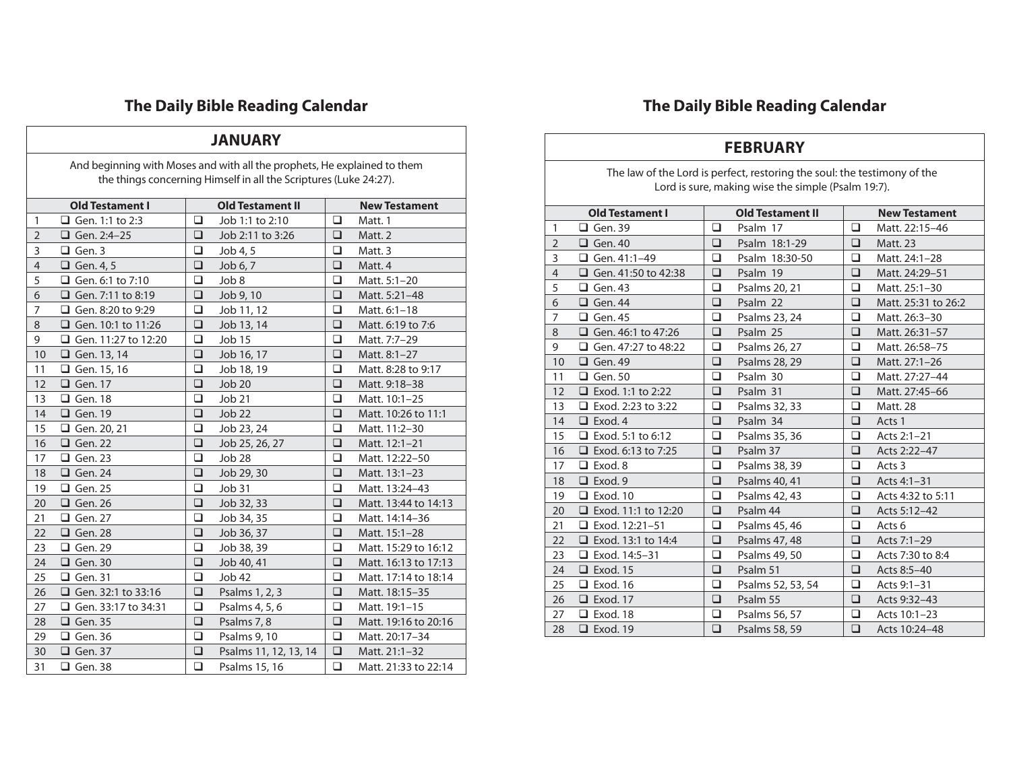#### **JANUARY**

And beginning with Moses and with all the prophets, He explained to them the things concerning Himself in all the Scriptures (Luke 24:27).

|                | <b>Old Testament I</b>   |        | <b>Old Testament II</b> |        | <b>New Testament</b> |  |  |  |
|----------------|--------------------------|--------|-------------------------|--------|----------------------|--|--|--|
| $\mathbf{1}$   | <b>Q</b> Gen. 1:1 to 2:3 | □      | Job 1:1 to 2:10         | $\Box$ | Matt. 1              |  |  |  |
| $\overline{2}$ | Gen. 2:4-25              | ❏      | Job 2:11 to 3:26        | □      | Matt. 2              |  |  |  |
| 3              | $\Box$ Gen. 3            | $\Box$ | Job 4, 5                | $\Box$ | Matt. 3              |  |  |  |
| $\overline{4}$ | $\Box$ Gen. 4, 5         | ❏      | Job 6, 7                | $\Box$ | Matt. 4              |  |  |  |
| 5              | Gen. 6:1 to 7:10         | ❏      | Job 8                   | □      | Matt. 5:1-20         |  |  |  |
| 6              | Gen. 7:11 to 8:19        | ❏      | Job 9, 10               | ❏      | Matt. 5:21-48        |  |  |  |
| 7              | $\Box$ Gen. 8:20 to 9:29 | $\Box$ | Job 11, 12              | □      | Matt. 6:1-18         |  |  |  |
| 8              | Gen. 10:1 to 11:26       | $\Box$ | Job 13, 14              | $\Box$ | Matt. 6:19 to 7:6    |  |  |  |
| 9              | Gen. 11:27 to 12:20      | ❏      | Job 15                  | □      | Matt. 7:7-29         |  |  |  |
| 10             | <b>Q</b> Gen. 13, 14     | ❏      | Job 16, 17              | $\Box$ | Matt. 8:1-27         |  |  |  |
| 11             | <b>Q</b> Gen. 15, 16     | □      | Job 18, 19              | □      | Matt. 8:28 to 9:17   |  |  |  |
| 12             | $\Box$ Gen. 17           | ❏      | <b>Job 20</b>           | □      | Matt. 9:18-38        |  |  |  |
| 13             | $\Box$ Gen. 18           | $\Box$ | Job 21                  | □      | Matt. 10:1-25        |  |  |  |
| 14             | $\Box$ Gen. 19           | $\Box$ | Job 22                  | $\Box$ | Matt. 10:26 to 11:1  |  |  |  |
| 15             | Gen. 20, 21              | $\Box$ | Job 23, 24              | $\Box$ | Matt. 11:2-30        |  |  |  |
| 16             | $\Box$ Gen. 22           | ❏      | Job 25, 26, 27          | ❏      | Matt. 12:1-21        |  |  |  |
| 17             | $\Box$ Gen. 23           | $\Box$ | Job 28                  | □      | Matt. 12:22-50       |  |  |  |
| 18             | $\Box$ Gen. 24           | $\Box$ | Job 29, 30              | $\Box$ | Matt. 13:1-23        |  |  |  |
| 19             | $\Box$ Gen. 25           | □      | Job 31                  | □      | Matt. 13:24-43       |  |  |  |
| 20             | $\Box$ Gen. 26           | ❏      | Job 32, 33              | ❏      | Matt. 13:44 to 14:13 |  |  |  |
| 21             | $\Box$ Gen. 27           | ❏      | Job 34, 35              | □      | Matt. 14:14-36       |  |  |  |
| 22             | $\Box$ Gen. 28           | $\Box$ | Job 36, 37              | $\Box$ | Matt. 15:1-28        |  |  |  |
| 23             | $\Box$ Gen. 29           | ❏      | Job 38, 39              | □      | Matt. 15:29 to 16:12 |  |  |  |
| 24             | $\Box$ Gen. 30           | $\Box$ | Job 40, 41              | $\Box$ | Matt. 16:13 to 17:13 |  |  |  |
| 25             | $\Box$ Gen. 31           | $\Box$ | Job 42                  | □      | Matt. 17:14 to 18:14 |  |  |  |
| 26             | Gen. 32:1 to 33:16       | ❏      | Psalms 1, 2, 3          | ❏      | Matt. 18:15-35       |  |  |  |
| 27             | Gen. 33:17 to 34:31      | ❏      | Psalms 4, 5, 6          | □      | Matt. 19:1-15        |  |  |  |
| 28             | $\Box$ Gen. 35           | $\Box$ | Psalms 7, 8             | $\Box$ | Matt. 19:16 to 20:16 |  |  |  |
| 29             | $\Box$ Gen. 36           | $\Box$ | Psalms 9, 10            | $\Box$ | Matt. 20:17-34       |  |  |  |
| 30             | $\Box$ Gen. 37           | ❏      | Psalms 11, 12, 13, 14   | ❏      | Matt. 21:1-32        |  |  |  |
| 31             | $\Box$ Gen. 38           | $\Box$ | Psalms 15, 16           | □      | Matt. 21:33 to 22:14 |  |  |  |

# **The Daily Bible Reading Calendar**

### **FEBRUARY**

The law of the Lord is perfect, restoring the soul: the testimony of the Lord is sure, making wise the simple (Psalm 19:7).

|                | <b>Old Testament I</b>     |        | <b>Old Testament II</b> |          | <b>New Testament</b> |
|----------------|----------------------------|--------|-------------------------|----------|----------------------|
| $\mathbf{1}$   | $\Box$ Gen. 39             | □      | Psalm 17                | ◻        | Matt. 22:15-46       |
| $\overline{2}$ | $\Box$ Gen. 40             | ❏      | Psalm 18:1-29           | ◻        | Matt. 23             |
| 3              | $\Box$ Gen. 41:1-49        | ❏      | Psalm 18:30-50          | ❏        | Matt. 24:1-28        |
| $\overline{4}$ | Gen. 41:50 to 42:38        | ❏      | Psalm 19                | ❏        | Matt. 24:29-51       |
| 5              | $\Box$ Gen. 43             | $\Box$ | Psalms 20, 21           | ◻        | Matt. 25:1-30        |
| 6              | $\Box$ Gen. 44             | ❏      | Psalm 22                | ❏        | Matt. 25:31 to 26:2  |
| $\overline{7}$ | $\Box$ Gen. 45             | ❏      | Psalms 23, 24           | ◻        | Matt. 26:3-30        |
| 8              | Gen. 46:1 to 47:26         | □      | Psalm 25                | <b>□</b> | Matt. 26:31-57       |
| 9              | Gen. 47:27 to 48:22        | ❏      | Psalms 26, 27           | ◻        | Matt. 26:58-75       |
| 10             | $\Box$ Gen. 49             | $\Box$ | Psalms 28, 29           | <b>□</b> | Matt. 27:1-26        |
| 11             | $\Box$ Gen. 50             | ❏      | Psalm 30                | ❏        | Matt. 27:27-44       |
| 12             | $\Box$ Exod. 1:1 to 2:22   | $\Box$ | Psalm 31                | ◻        | Matt. 27:45-66       |
| 13             | $\Box$ Exod. 2:23 to 3:22  | ❏      | Psalms 32, 33           | □        | <b>Matt. 28</b>      |
| 14             | $\Box$ Exod. 4             | $\Box$ | Psalm 34                | ❏        | Acts 1               |
| 15             | $\Box$ Exod. 5:1 to 6:12   | ❏      | Psalms 35, 36           | ◻        | Acts 2:1-21          |
| 16             | $\Box$ Exod. 6:13 to 7:25  | ❏      | Psalm 37                | ❏        | Acts 2:22-47         |
| 17             | $\Box$ Exod. 8             | ❏      | Psalms 38, 39           | ❏        | Acts 3               |
| 18             | $\Box$ Exod. 9             | ❏      | Psalms 40, 41           | ❏        | Acts 4:1-31          |
| 19             | $\Box$ Exod. 10            | $\Box$ | Psalms 42, 43           | ❏        | Acts 4:32 to 5:11    |
| 20             | $\Box$ Exod. 11:1 to 12:20 | ❏      | Psalm 44                | ❏        | Acts 5:12-42         |
| 21             | $\Box$ Exod. 12:21-51      | ❏      | Psalms 45, 46           | ◻        | Acts <sub>6</sub>    |
| 22             | □ Exod. 13:1 to 14:4       | ❏      | Psalms 47, 48           | <b>□</b> | Acts 7:1-29          |
| 23             | $\Box$ Exod. 14:5-31       | □      | Psalms 49, 50           | ❏        | Acts 7:30 to 8:4     |
| 24             | $\Box$ Exod. 15            | ❏      | Psalm 51                | ❏        | Acts 8:5-40          |
| 25             | $\Box$ Exod. 16            | □      | Psalms 52, 53, 54       | □        | Acts 9:1-31          |
| 26             | $\Box$ Exod. 17            | $\Box$ | Psalm 55                | <b>□</b> | Acts 9:32-43         |
| 27             | $\Box$ Exod. 18            | ❏      | Psalms 56, 57           | ◻        | Acts 10:1-23         |
| 28             | $\Box$ Exod. 19            | $\Box$ | Psalms 58, 59           | $\Box$   | Acts 10:24-48        |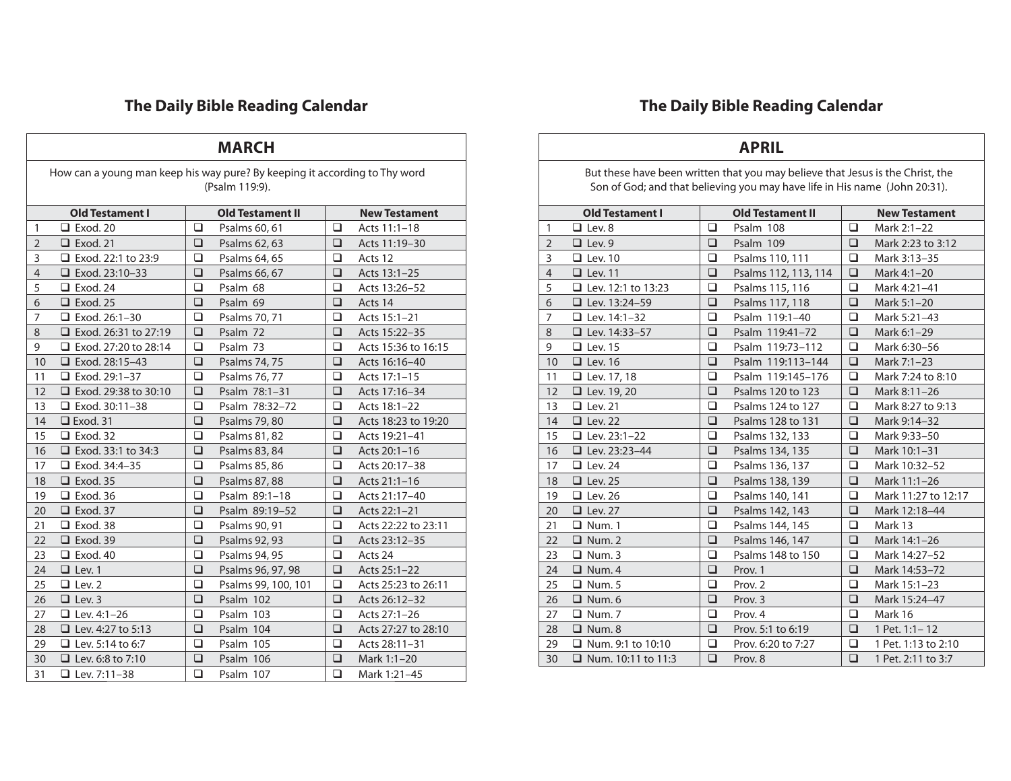| <b>MARCH</b>                                                                                 |                             |        |                         |        |                      |  |  |
|----------------------------------------------------------------------------------------------|-----------------------------|--------|-------------------------|--------|----------------------|--|--|
| How can a young man keep his way pure? By keeping it according to Thy word<br>(Psalm 119:9). |                             |        |                         |        |                      |  |  |
|                                                                                              | <b>Old Testament I</b>      |        | <b>Old Testament II</b> |        | <b>New Testament</b> |  |  |
| 1                                                                                            | $\Box$ Exod. 20             | ❏      | Psalms 60, 61           | □      | Acts 11:1-18         |  |  |
| $\overline{2}$                                                                               | $\Box$ Exod. 21             | $\Box$ | Psalms 62, 63           | □      | Acts 11:19-30        |  |  |
| 3                                                                                            | □ Exod. 22:1 to 23:9        | □      | Psalms 64, 65           | ❏      | Acts 12              |  |  |
| $\overline{4}$                                                                               | $\Box$ Exod. 23:10-33       | □      | Psalms 66, 67           | ◻      | Acts 13:1-25         |  |  |
| 5                                                                                            | $\Box$ Exod. 24             | □      | Psalm 68                | ❏      | Acts 13:26-52        |  |  |
| 6                                                                                            | $\Box$ Exod. 25             | $\Box$ | Psalm 69                | □      | Acts 14              |  |  |
| 7                                                                                            | $\Box$ Exod. 26:1-30        | ◻      | Psalms 70, 71           | ◻      | Acts 15:1-21         |  |  |
| 8                                                                                            | $\Box$ Exod. 26:31 to 27:19 | □      | Psalm 72                | ◻      | Acts 15:22-35        |  |  |
| 9                                                                                            | $\Box$ Exod. 27:20 to 28:14 | ◻      | Psalm 73                | ◻      | Acts 15:36 to 16:15  |  |  |
| 10                                                                                           | $\Box$ Exod. 28:15-43       | $\Box$ | Psalms 74, 75           | ❏      | Acts 16:16-40        |  |  |
| 11                                                                                           | $\Box$ Exod. 29:1-37        | $\Box$ | Psalms 76, 77           | ❏      | Acts 17:1-15         |  |  |
| 12                                                                                           | $\Box$ Exod. 29:38 to 30:10 | ❏      | Psalm 78:1-31           | ❏      | Acts 17:16-34        |  |  |
| 13                                                                                           | $\Box$ Exod. 30:11-38       | ◻      | Psalm 78:32-72          | ◻      | Acts 18:1-22         |  |  |
| 14                                                                                           | $\Box$ Exod. 31             | ❏      | Psalms 79, 80           | ❏      | Acts 18:23 to 19:20  |  |  |
| 15                                                                                           | $\Box$ Exod. 32             | $\Box$ | Psalms 81, 82           | □      | Acts 19:21-41        |  |  |
| 16                                                                                           | $\Box$ Exod. 33:1 to 34:3   | ❏      | Psalms 83, 84           | ❏      | Acts 20:1-16         |  |  |
| 17                                                                                           | $\Box$ Exod. 34:4-35        | $\Box$ | Psalms 85, 86           | ❏      | Acts 20:17-38        |  |  |
| 18                                                                                           | $\Box$ Exod. 35             | ❏      | Psalms 87, 88           | ❏      | Acts 21:1-16         |  |  |
| 19                                                                                           | $\Box$ Exod. 36             | □      | Psalm 89:1-18           | ◻      | Acts 21:17-40        |  |  |
| 20                                                                                           | $\Box$ Exod. 37             | ❏      | Psalm 89:19-52          | □      | Acts 22:1-21         |  |  |
| 21                                                                                           | $\Box$ Exod. 38             | □      | Psalms 90, 91           | ❏      | Acts 22:22 to 23:11  |  |  |
| 22                                                                                           | $\Box$ Exod. 39             | □      | Psalms 92, 93           | ❏      | Acts 23:12-35        |  |  |
| 23                                                                                           | $\Box$ Exod. 40             | □      | Psalms 94, 95           | ◻      | Acts 24              |  |  |
| 24                                                                                           | $\Box$ Lev. 1               | □      | Psalms 96, 97, 98       | □      | Acts 25:1-22         |  |  |
| 25                                                                                           | $\Box$ Lev. 2               | $\Box$ | Psalms 99, 100, 101     | □      | Acts 25:23 to 26:11  |  |  |
| 26                                                                                           | $\Box$ Lev. 3               | $\Box$ | Psalm 102               | $\Box$ | Acts 26:12-32        |  |  |
| 27                                                                                           | $\Box$ Lev. 4:1-26          | $\Box$ | Psalm 103               | ❏      | Acts 27:1-26         |  |  |
| 28                                                                                           | <b>Lev.</b> 4:27 to 5:13    | □      | Psalm 104               | ❏      | Acts 27:27 to 28:10  |  |  |
| 29                                                                                           | $\Box$ Lev. 5:14 to 6:7     | ❏      | Psalm 105               | ❏      | Acts 28:11-31        |  |  |
| 30                                                                                           | $\Box$ Lev. 6:8 to 7:10     | $\Box$ | Psalm 106               | $\Box$ | Mark 1:1-20          |  |  |
| 31                                                                                           | □ Lev. 7:11-38              | $\Box$ | Psalm 107               | □      | Mark 1:21–45         |  |  |

#### **APRIL** But these have been written that you may believe that Jesus is the Christ, the Son of God; and that believing you may have life in His name (John 20:31). **Old Testament I Old Testament II New Testament** Lev. 8 Psalm 108 Mark 2:1–22 2  $\Box$  Lev. 9  $\Box$  Psalm 109  $\Box$  Mark 2:23 to 3:12 3 Lev. 10  $\Box$  Psalms 110, 111  $\Box$  Mark 3:13-35 4 Lev. 11  $\Box$  Psalms 112, 113, 114  $\Box$  Mark 4:1-20 5  $\Box$  Lev. 12:1 to 13:23  $\Box$  Psalms 115, 116  $\Box$  Mark 4:21-41 6  $\Box$  Lev. 13:24-59  $\Box$  Psalms 117, 118  $\Box$  Mark 5:1-20 **a** Lev. 14:1–32 **a** Psalm 119:1–40 **a** Mark 5:21–43 **a** Lev. 14:33–57 **a a** Psalm 119:41–72 **a a** Mark 6:1–29 Lev. 15 Psalm 119:73–112 Mark 6:30–56 **Q** Lev. 16 **Q Q C C C Psalm 119:113-144 Q Mark 7:1-23** 11  $\Box$  Lev. 17, 18  $\Box$  Psalm 119:145-176  $\Box$  Mark 7:24 to 8:10 **a** Lev. 19, 20 **d D** Psalms 120 to 123 **d Mark 8:11–26** 13  $\Box$  Lev. 21  $\Box$  Psalms 124 to 127  $\Box$  Mark 8:27 to 9:13 **□** Lev. 22 **□** Psalms 128 to 131 **□** Mark 9:14-32 **a** Lev. 23:1–22 **d** Psalms 132, 133 **d** Mark 9:33–50 **□** Lev. 23:23-44 **□** Psalms 134, 135 **□** Mark 10:1-31 **Lev. 24 Lev. 24 Lev. 24 Lev. 24 Lev. 24 Lev. 24 Lev. 24 Lev. 24 Lev. 24 Lev. 24 Lev. 24 Lev. 24 Lev. 24 Lev. 24 Lev. 24 Lev. 24 Lev. 24 Lev. 24 Lev. 24 Lev. 24 Lev. 24 Lev. 24 □** Lev. 25 **□** Psalms 138, 139 **□** Mark 11:1–26 **□** Lev. 26 **□** D Psalms 140, 141 **□** Mark 11:27 to 12:17 **□** Lev. 27 **□** Psalms 142, 143 **□** Mark 12:18-44 21 **a** Num. 1 **a d C C C Psalms 144, 145 <b>a C Mark 13**  Num. 2 Psalms 146, 147 Mark 14:1–26 **■** Num. 3 **■ ■** Psalms 148 to 150 ■ Mark 14:27-52 **a** Num. 4 **a** Prov. 1 **a** Mark 14:53–72 **□** Num. 5 **□** Prov. 2 **□** Mark 15:1–23 **□** Num. 6 **□** Prov. 3 **□** Mark 15:24-47 Num. 7 Prov. 4 Mark 16 **□** Num. 8  $\Box$  Prov. 5:1 to 6:19  $\Box$  1 Pet. 1:1-12 Num. 9:1 to 10:10 Prov. 6:20 to 7:27 1 Pet. 1:13 to 2:10 **Num.** 10:11 to 11:3 **D** Prov. 8 **D** 1 Pet. 2:11 to 3:7

#### **The Daily Bible Reading Calendar**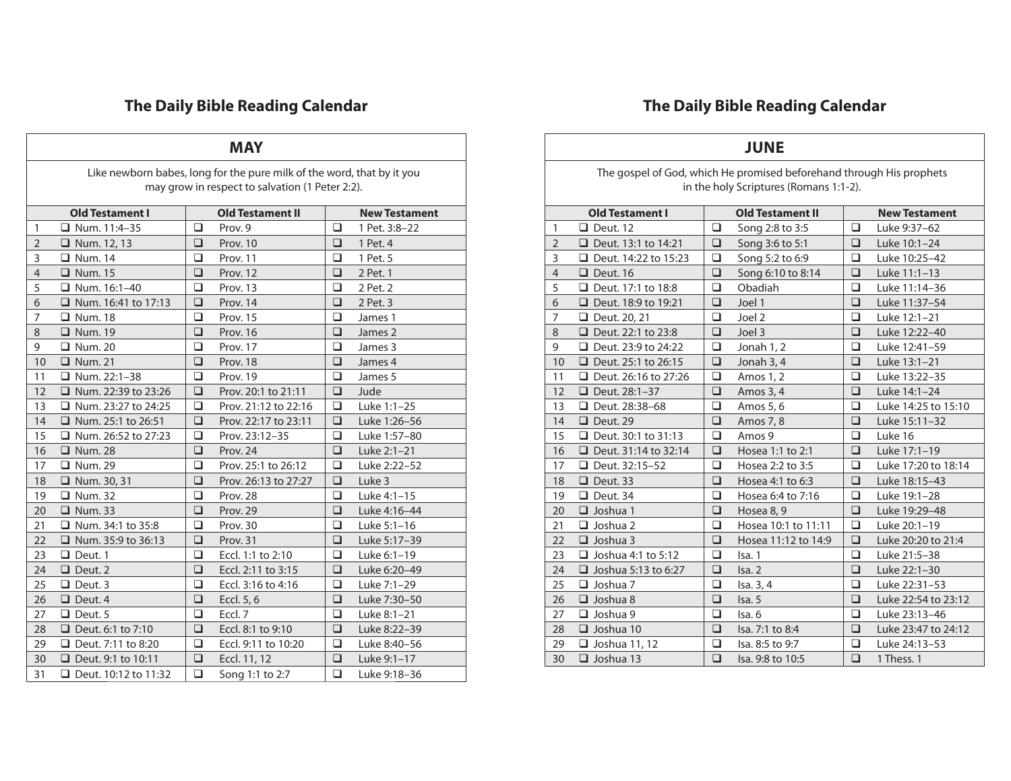| <b>MAY</b>     |                                                                        |        |                                                 |        |                      |  |  |  |  |
|----------------|------------------------------------------------------------------------|--------|-------------------------------------------------|--------|----------------------|--|--|--|--|
|                | Like newborn babes, long for the pure milk of the word, that by it you |        |                                                 |        |                      |  |  |  |  |
|                |                                                                        |        | may grow in respect to salvation (1 Peter 2:2). |        |                      |  |  |  |  |
|                |                                                                        |        |                                                 |        |                      |  |  |  |  |
|                | <b>Old Testament I</b>                                                 |        | <b>Old Testament II</b>                         |        | <b>New Testament</b> |  |  |  |  |
| 1              | $\Box$ Num. 11:4-35                                                    | ◻      | Prov. 9                                         | □      | 1 Pet. 3:8-22        |  |  |  |  |
| $\overline{2}$ | $\Box$ Num. 12, 13                                                     | ❏      | Prov. 10                                        | ◻      | 1 Pet. 4             |  |  |  |  |
| 3              | $\Box$ Num. 14                                                         | ❏      | Prov. 11                                        | ❏      | 1 Pet. 5             |  |  |  |  |
| $\overline{4}$ | $\Box$ Num. 15                                                         | ❏      | Prov. 12                                        | ◻      | 2 Pet. 1             |  |  |  |  |
| 5              | $\Box$ Num. 16:1-40                                                    | ❏      | Prov. 13                                        | □      | 2 Pet. 2             |  |  |  |  |
| 6              | $\Box$ Num. 16:41 to 17:13                                             | $\Box$ | Prov. 14                                        | ❏      | 2 Pet. 3             |  |  |  |  |
| 7              | $\Box$ Num. 18                                                         | $\Box$ | Prov. 15                                        | □      | James 1              |  |  |  |  |
| 8              | $\Box$ Num. 19                                                         | ❏      | Prov. 16                                        | ❏      | James 2              |  |  |  |  |
| 9              | <b>Q</b> Num. 20                                                       | □      | Prov. 17                                        | □      | James 3              |  |  |  |  |
| 10             | $\Box$ Num. 21                                                         | $\Box$ | Prov. 18                                        | ❏      | James 4              |  |  |  |  |
| 11             | $\Box$ Num. 22:1-38                                                    | ❏      | Prov. 19                                        | □      | James 5              |  |  |  |  |
| 12             | $\Box$ Num. 22:39 to 23:26                                             | □      | Prov. 20:1 to 21:11                             | ◻      | Jude                 |  |  |  |  |
| 13             | $\Box$ Num. 23:27 to 24:25                                             | □      | Prov. 21:12 to 22:16                            | □      | Luke 1:1-25          |  |  |  |  |
| 14             | □ Num. 25:1 to 26:51                                                   | ❏      | Prov. 22:17 to 23:11                            | □      | Luke 1:26-56         |  |  |  |  |
| 15             | $\Box$ Num. 26:52 to 27:23                                             | □      | Prov. 23:12-35                                  | ◻      | Luke 1:57-80         |  |  |  |  |
| 16             | $\Box$ Num. 28                                                         | $\Box$ | Prov. 24                                        | $\Box$ | Luke 2:1-21          |  |  |  |  |
| 17             | □ Num. 29                                                              | □      | Prov. 25:1 to 26:12                             | $\Box$ | Luke 2:22-52         |  |  |  |  |
| 18             | $\Box$ Num. 30, 31                                                     | □      | Prov. 26:13 to 27:27                            | $\Box$ | Luke 3               |  |  |  |  |
| 19             | $\Box$ Num. 32                                                         | $\Box$ | Prov. 28                                        | ◻      | Luke 4:1-15          |  |  |  |  |
| 20             | $\Box$ Num. 33                                                         | $\Box$ | Prov. 29                                        | □      | Luke 4:16-44         |  |  |  |  |
| 21             | $\Box$ Num. 34:1 to 35:8                                               | □      | Prov. 30                                        | ◻      | Luke 5:1-16          |  |  |  |  |
| 22             | $\Box$ Num. 35:9 to 36:13                                              | $\Box$ | Prov. 31                                        | □      | Luke 5:17-39         |  |  |  |  |
| 23             | $\Box$ Deut. 1                                                         | $\Box$ | Eccl. 1:1 to 2:10                               | □      | Luke 6:1-19          |  |  |  |  |
| 24             | $\Box$ Deut. 2                                                         | $\Box$ | Eccl. 2:11 to 3:15                              | □      | Luke 6:20-49         |  |  |  |  |
| 25             | $\Box$ Deut. 3                                                         | $\Box$ | Eccl. 3:16 to 4:16                              | □      | Luke 7:1-29          |  |  |  |  |
| 26             | $\Box$ Deut. 4                                                         | $\Box$ | Eccl. 5, 6                                      | $\Box$ | Luke 7:30-50         |  |  |  |  |
| 27             | $\Box$ Deut. 5                                                         | ◻      | Eccl. 7                                         | ◻      | Luke 8:1-21          |  |  |  |  |
| 28             | □ Deut. 6:1 to 7:10                                                    | $\Box$ | Eccl. 8:1 to 9:10                               | $\Box$ | Luke 8:22-39         |  |  |  |  |
| 29             | $\Box$ Deut. 7:11 to 8:20                                              | □      | Eccl. 9:11 to 10:20                             | ◻      | Luke 8:40-56         |  |  |  |  |
| 30             | □ Deut. 9:1 to 10:11                                                   | ◻      | Eccl. 11, 12                                    | ❏      | Luke 9:1-17          |  |  |  |  |
| 31             | $\Box$ Deut. 10:12 to 11:32                                            | ◻      | Song 1:1 to 2:7                                 | ◻      | Luke 9:18-36         |  |  |  |  |

#### **JUNE** The gospel of God, which He promised beforehand through His prophets in the holy Scriptures (Romans 1:1-2). **Old Testament I Old Testament II New Testament □** Deut. 12 **□** Song 2:8 to 3:5 **□** Luke 9:37–62 Deut. 13:1 to 14:21 Song 3:6 to 5:1 Luke 10:1–24 3  $\Box$  Deut. 14:22 to 15:23  $\Box$  Song 5:2 to 6:9  $\Box$  Luke 10:25-42 **□** Deut. 16 **□** Song 6:10 to 8:14 **□** Luke 11:1–13 **□** Deut. 17:1 to 18:8 **□** Obadiah **□** Luke 11:14-36 6  $\Box$  Deut. 18:9 to 19:21  $\Box$  Joel 1  $\Box$  Luke 11:37-54 Deut. 20, 21 Joel 2 Luke 12:1–21 Deut. 22:1 to 23:8 Joel 3 Luke 12:22–40 Deut. 23:9 to 24:22 Jonah 1, 2 Luke 12:41–59 **□** Deut. 25:1 to 26:15 **□** Jonah 3, 4 **□** Luke 13:1–21 11  $\Box$  Deut. 26:16 to 27:26  $\Box$  Amos 1, 2  $\Box$  Luke 13:22-35 **□** Deut. 28:1–37 **□** Amos 3, 4 **□** Luke 14:1–24 **□** Deut. 28:38–68 **□** Amos 5, 6 **□** Luke 14:25 to 15:10 14 **□** Deut. 29  $\Box$  Amos 7, 8  $\Box$  Luke 15:11-32 **Q** Deut. 30:1 to 31:13 **Q** Amos 9 **Q** Luke 16 **□** Deut. 31:14 to 32:14 **□** Hosea 1:1 to 2:1 **□** Luke 17:1–19 **□** Deut. 32:15-52 **□** Hosea 2:2 to 3:5 **□** Luke 17:20 to 18:14  $\Box$  Deut. 33  $\Box$  Hosea 4:1 to 6:3  $\Box$  Luke 18:15–43 19 **□** Deut. 34  $\Box$  Hosea 6:4 to 7:16  $\Box$  Luke 19:1–28 20  $\Box$  Joshua 1  $\Box$  Hosea 8, 9  $\Box$  Luke 19:29-48 21 **□** Joshua 2  $\Box$  Hosea 10:1 to 11:11 **□** Luke 20:1-19 **□** Joshua 3 **□** Hosea 11:12 to 14:9 **□** Luke 20:20 to 21:4 23  $\Box$  Joshua 4:1 to 5:12  $\Box$  Isa. 1  $\Box$  Luke 21:5–38 24  $\Box$  Joshua 5:13 to 6:27  $\Box$  Isa. 2  $\Box$  Luke 22:1-30 25  $\Box$  Joshua 7  $\Box$  Isa. 3, 4  $\Box$  Luke 22:31-53 26  $\Box$  Joshua 8  $\Box$  Isa. 5  $\Box$  Luke 22:54 to 23:12 27  $\Box$  Joshua 9  $\Box$  Isa. 6  $\Box$  Luke 23:13-46 **□** Joshua 10 **□** Isa. 7:1 to 8:4 **□** Luke 23:47 to 24:12 29 **□** Joshua 11, 12 <br>**□** Isa. 8:5 to 9:7 <br>**□** Luke 24:13-53 30  $\Box$  Joshua 13  $\Box$  Isa. 9:8 to 10:5  $\Box$  1 Thess. 1

### **The Daily Bible Reading Calendar**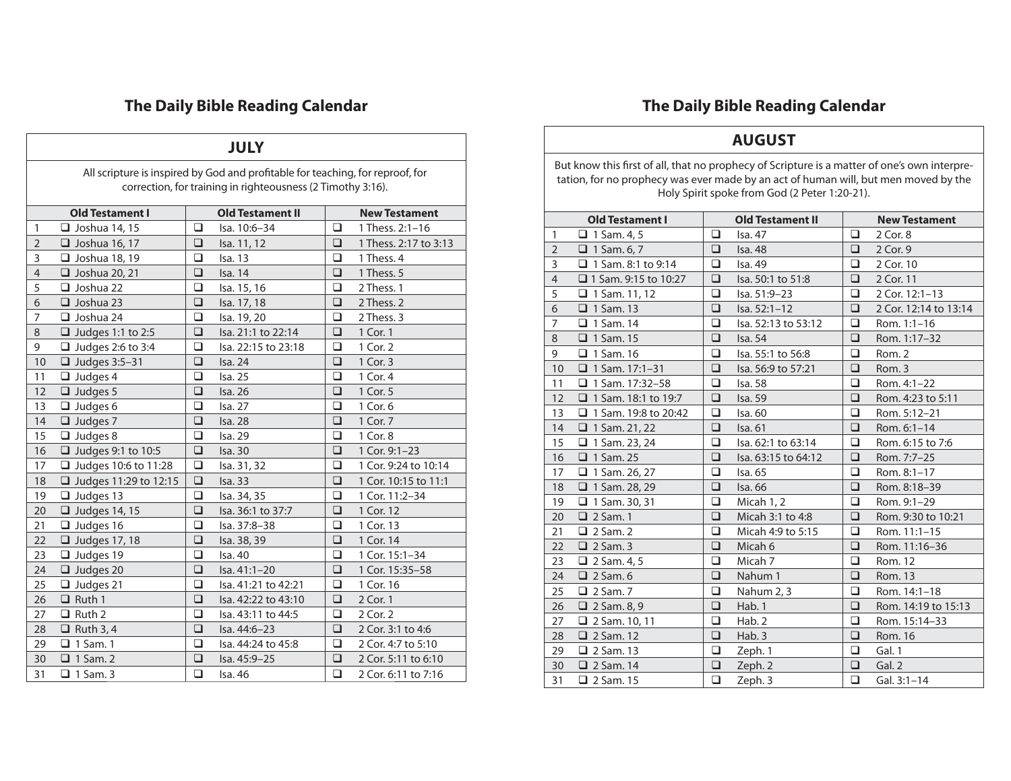| <b>JULY</b>    |                                                                                |        |                         |        |                       |  |  |  |
|----------------|--------------------------------------------------------------------------------|--------|-------------------------|--------|-----------------------|--|--|--|
|                | All scripture is inspired by God and profitable for teaching, for reproof, for |        |                         |        |                       |  |  |  |
|                | correction, for training in righteousness (2 Timothy 3:16).                    |        |                         |        |                       |  |  |  |
|                | <b>Old Testament I</b>                                                         |        | <b>Old Testament II</b> |        | <b>New Testament</b>  |  |  |  |
| $\mathbf{1}$   | $\Box$ Joshua 14, 15                                                           | □      | Isa. 10:6-34            | □      | 1 Thess. 2:1-16       |  |  |  |
| $\overline{2}$ | $\Box$ Joshua 16, 17                                                           | ❏      | Isa. 11, 12             | ❏      | 1 Thess. 2:17 to 3:13 |  |  |  |
| 3              | Joshua 18, 19                                                                  | □      | Isa. 13                 | ❏      | 1 Thess. 4            |  |  |  |
| $\overline{4}$ | $\Box$ Joshua 20, 21                                                           | ❏      | <b>Isa. 14</b>          | □      | 1 Thess. 5            |  |  |  |
| 5              | $\Box$ Joshua 22                                                               | ◻      | Isa. 15, 16             | ◻      | 2 Thess. 1            |  |  |  |
| 6              | $\Box$ Joshua 23                                                               | $\Box$ | Isa. 17, 18             | ❏      | 2 Thess. 2            |  |  |  |
| 7              | $\Box$ Joshua 24                                                               | $\Box$ | Isa. 19, 20             | ❏      | 2 Thess. 3            |  |  |  |
| 8              | $\Box$ Judges 1:1 to 2:5                                                       | $\Box$ | Isa. 21:1 to 22:14      | ❏      | 1 Cor. 1              |  |  |  |
| 9              | $\Box$ Judges 2:6 to 3:4                                                       | ❏      | Isa. 22:15 to 23:18     | ❏      | 1 Cor. 2              |  |  |  |
| 10             | $\Box$ Judges 3:5-31                                                           | $\Box$ | Isa. 24                 | □      | 1 Cor. 3              |  |  |  |
| 11             | $\Box$ Judges 4                                                                | $\Box$ | <b>Isa. 25</b>          | ◻      | 1 Cor. 4              |  |  |  |
| 12             | $\Box$ Judges 5                                                                | $\Box$ | Isa. 26                 | ❏      | 1 Cor. 5              |  |  |  |
| 13             | $\Box$ Judges 6                                                                | $\Box$ | Isa. 27                 | □      | 1 Cor. 6              |  |  |  |
| 14             | $\Box$ Judges 7                                                                | □      | <b>Isa. 28</b>          | □      | 1 Cor. 7              |  |  |  |
| 15             | $\Box$ Judges 8                                                                | $\Box$ | Isa. 29                 | ❏      | 1 Cor. 8              |  |  |  |
| 16             | $\Box$ Judges 9:1 to 10:5                                                      | □      | Isa. 30                 | ❏      | 1 Cor. 9:1-23         |  |  |  |
| 17             | □ Judges 10:6 to 11:28                                                         | $\Box$ | Isa. 31, 32             | ◻      | 1 Cor. 9:24 to 10:14  |  |  |  |
| 18             | $\Box$ Judges 11:29 to 12:15                                                   | $\Box$ | Isa. 33                 | ❏      | 1 Cor. 10:15 to 11:1  |  |  |  |
| 19             | $\Box$ Judges 13                                                               | □      | Isa. 34, 35             | ◻      | 1 Cor. 11:2-34        |  |  |  |
| 20             | $\Box$ Judges 14, 15                                                           | $\Box$ | Isa. 36:1 to 37:7       | □      | 1 Cor. 12             |  |  |  |
| 21             | $\Box$ Judges 16                                                               | $\Box$ | Isa. 37:8-38            | ◻      | 1 Cor. 13             |  |  |  |
| 22             | $\Box$ Judges 17, 18                                                           | $\Box$ | Isa. 38, 39             | $\Box$ | 1 Cor. 14             |  |  |  |
| 23             | $\Box$ Judges 19                                                               | $\Box$ | Isa. 40                 | $\Box$ | 1 Cor. 15:1-34        |  |  |  |
| 24             | $\Box$ Judges 20                                                               | $\Box$ | Isa. 41:1-20            | $\Box$ | 1 Cor. 15:35-58       |  |  |  |
| 25             | $\Box$ Judges 21                                                               | $\Box$ | Isa. 41:21 to 42:21     | □      | 1 Cor. 16             |  |  |  |
| 26             | $\Box$ Ruth 1                                                                  | $\Box$ | Isa, 42:22 to 43:10     | □      | 2 Cor. 1              |  |  |  |
| 27             | $\Box$ Ruth 2                                                                  | ◻      | Isa. 43:11 to 44:5      | ◻      | 2 Cor. 2              |  |  |  |
| 28             | $\Box$ Ruth 3, 4                                                               | $\Box$ | Isa. 44:6-23            | $\Box$ | 2 Cor. 3:1 to 4:6     |  |  |  |
| 29             | $\Box$ 1 Sam. 1                                                                | $\Box$ | Isa. 44:24 to 45:8      | □      | 2 Cor. 4:7 to 5:10    |  |  |  |
| 30             | $\Box$ 1 Sam. 2                                                                | $\Box$ | Isa. 45:9-25            | $\Box$ | 2 Cor. 5:11 to 6:10   |  |  |  |
| 31             | $\Box$ 1 Sam. 3                                                                | $\Box$ | Isa. 46                 | □      | 2 Cor. 6:11 to 7:16   |  |  |  |

# **The Daily Bible Reading Calendar**

### **AUGUST**

But know this first of all, that no prophecy of Scripture is a matter of one's own interpretation, for no prophecy was ever made by an act of human will, but men moved by the Holy Spirit spoke from God (2 Peter 1:20-21).

|                | <b>Old Testament I</b>      |        | <b>Old Testament II</b> |        | <b>New Testament</b>  |
|----------------|-----------------------------|--------|-------------------------|--------|-----------------------|
| $\mathbf{1}$   | $\Box$ 1 Sam. 4, 5          | $\Box$ | Isa. 47                 | □      | 2 Cor. 8              |
| $\overline{2}$ | $\Box$ 1 Sam. 6, 7          | $\Box$ | Isa. 48                 | $\Box$ | 2 Cor. 9              |
| 3              | $\Box$ 1 Sam. 8:1 to 9:14   | □      | Isa. 49                 | ❏      | 2 Cor. 10             |
| $\overline{4}$ | $\Box$ 1 Sam. 9:15 to 10:27 | $\Box$ | Isa. 50:1 to 51:8       | $\Box$ | 2 Cor. 11             |
| 5              | $\Box$ 1 Sam. 11, 12        | ◻      | Isa. 51:9-23            | □      | 2 Cor. 12:1-13        |
| 6              | $\Box$ 1 Sam. 13            | ❏      | Isa. 52:1-12            | $\Box$ | 2 Cor. 12:14 to 13:14 |
| $\overline{7}$ | $\Box$ 1 Sam. 14            | $\Box$ | Isa. 52:13 to 53:12     | ❏      | Rom. 1:1-16           |
| 8              | $\Box$ 1 Sam. 15            | □      | Isa. 54                 | ❏      | Rom. 1:17-32          |
| 9              | $\Box$ 1 Sam. 16            | □      | Isa. 55:1 to 56:8       | □      | Rom. 2                |
| 10             | $\Box$ 1 Sam. 17:1-31       | ❏      | Isa. 56:9 to 57:21      | $\Box$ | Rom. 3                |
| 11             | $\Box$ 1 Sam. 17:32-58      | □      | Isa. 58                 | $\Box$ | Rom. 4:1-22           |
| 12             | $\Box$ 1 Sam. 18:1 to 19:7  | ❏      | Isa. 59                 | ❏      | Rom. 4:23 to 5:11     |
| 13             | $\Box$ 1 Sam. 19:8 to 20:42 | $\Box$ | Isa. 60                 | $\Box$ | Rom. 5:12-21          |
| 14             | $\Box$ 1 Sam. 21, 22        | □      | Isa. 61                 | ❏      | Rom. 6:1-14           |
| 15             | $\Box$ 1 Sam. 23, 24        | □      | Isa. 62:1 to 63:14      | □      | Rom. 6:15 to 7:6      |
| 16             | $\Box$ 1 Sam. 25            | $\Box$ | Isa. 63:15 to 64:12     | $\Box$ | Rom. 7:7-25           |
| 17             | $\Box$ 1 Sam. 26, 27        | ◻      | Isa. 65                 | $\Box$ | Rom. 8:1-17           |
| 18             | $\Box$ 1 Sam. 28, 29        | ❏      | Isa. 66                 | $\Box$ | Rom. 8:18-39          |
| 19             | $\Box$ 1 Sam. 30, 31        | $\Box$ | Micah 1, 2              | $\Box$ | Rom. 9:1-29           |
| 20             | $\Box$ 2 Sam. 1             | □      | Micah 3:1 to 4:8        | □      | Rom. 9:30 to 10:21    |
| 21             | $\Box$ 2 Sam. 2             | □      | Micah 4:9 to 5:15       | ❏      | Rom. 11:1-15          |
| 22             | $\Box$ 2 Sam. 3             | $\Box$ | Micah 6                 | $\Box$ | Rom. 11:16-36         |
| 23             | $\Box$ 2 Sam. 4, 5          | ◻      | Micah 7                 | □      | Rom. 12               |
| 24             | $\Box$ 2 Sam. 6             | ❏      | Nahum 1                 | ❏      | Rom. 13               |
| 25             | $\Box$ 2 Sam. 7             | $\Box$ | Nahum 2, 3              | $\Box$ | Rom. 14:1-18          |
| 26             | $\Box$ 2 Sam. 8, 9          | ❏      | Hab. 1                  | ❏      | Rom. 14:19 to 15:13   |
| 27             | $\Box$ 2 Sam. 10, 11        | □      | Hab. 2                  | □      | Rom. 15:14-33         |
| 28             | $\Box$ 2 Sam. 12            | $\Box$ | Hab. 3                  | $\Box$ | Rom. 16               |
| 29             | $\Box$ 2 Sam. 13            | □      | Zeph. 1                 | ❏      | Gal. 1                |
| 30             | $\Box$ 2 Sam. 14            | ❏      | Zeph. 2                 | ❏      | Gal. 2                |
| 31             | $\Box$ 2 Sam. 15            | $\Box$ | Zeph. 3                 | $\Box$ | Gal. $3:1-14$         |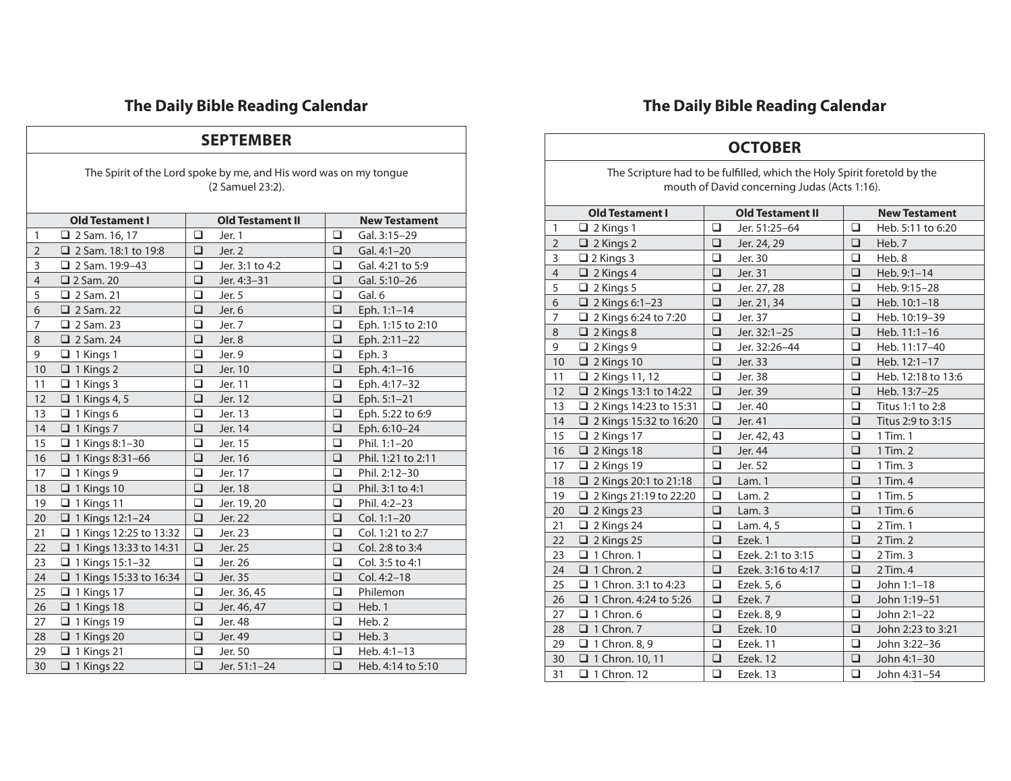#### **SEPTEMBER**

The Spirit of the Lord spoke by me, and His word was on my tongue (2 Samuel 23:2).

|                | <b>Old Testament I</b>        |        | <b>Old Testament II</b> |        | <b>New Testament</b> |
|----------------|-------------------------------|--------|-------------------------|--------|----------------------|
| $\mathbf{1}$   | 2 Sam. 16, 17                 | $\Box$ | Jer. 1                  | $\Box$ | Gal. 3:15-29         |
| $\overline{2}$ | 2 Sam. 18:1 to 19:8           | □      | Jer. 2                  | □      | Gal. 4:1-20          |
| 3              | $\Box$ 2 Sam. 19:9-43         | $\Box$ | Jer. 3:1 to 4:2         | $\Box$ | Gal. 4:21 to 5:9     |
| $\overline{4}$ | $\Box$ 2 Sam. 20              | $\Box$ | Jer. 4:3-31             | □      | Gal. 5:10-26         |
| 5              | $\Box$ 2 Sam. 21              | □      | Jer. 5                  | ◻      | Gal. 6               |
| 6              | $\Box$ 2 Sam. 22              | $\Box$ | Jer. 6                  | $\Box$ | Eph. 1:1-14          |
| 7              | $\Box$ 2 Sam. 23              | ❏      | Jer. 7                  | □      | Eph. 1:15 to 2:10    |
| 8              | $\Box$ 2 Sam. 24              | □      | Jer. 8                  | $\Box$ | Eph. 2:11-22         |
| 9              | $\Box$ 1 Kings 1              | $\Box$ | Jer. 9                  | $\Box$ | Eph.3                |
| 10             | $\Box$ 1 Kings 2              | □      | Jer. 10                 | □      | Eph. 4:1-16          |
| 11             | $\Box$ 1 Kings 3              | $\Box$ | Jer. 11                 | □      | Eph. 4:17-32         |
| 12             | $\Box$ 1 Kings 4, 5           | $\Box$ | Jer. 12                 | $\Box$ | Eph. 5:1-21          |
| 13             | $\Box$ 1 Kings 6              | □      | Jer. 13                 | □      | Eph. 5:22 to 6:9     |
| 14             | $\Box$ 1 Kings 7              | □      | Jer. 14                 | $\Box$ | Eph. 6:10-24         |
| 15             | $\Box$ 1 Kings 8:1-30         | □      | Jer. 15                 | □      | Phil. 1:1-20         |
| 16             | $\Box$ 1 Kings 8:31-66        | $\Box$ | Jer. 16                 | □      | Phil. 1:21 to 2:11   |
| 17             | $\Box$ 1 Kings 9              | $\Box$ | Jer. 17                 | $\Box$ | Phil. 2:12-30        |
| 18             | $\Box$ 1 Kings 10             | ❏      | Jer. 18                 | □      | Phil. 3:1 to 4:1     |
| 19             | $\Box$ 1 Kings 11             | □      | Jer. 19, 20             | □      | Phil. 4:2-23         |
| 20             | $\Box$ 1 Kings 12:1-24        | □      | Jer. 22                 | $\Box$ | Col. 1:1-20          |
| 21             | □ 1 Kings 12:25 to 13:32      | ❏      | Jer. 23                 | □      | Col. 1:21 to 2:7     |
| 22             | $\Box$ 1 Kings 13:33 to 14:31 | $\Box$ | Jer. 25                 | $\Box$ | Col. 2:8 to 3:4      |
| 23             | $\Box$ 1 Kings 15:1-32        | □      | Jer. 26                 | □      | Col. 3:5 to 4:1      |
| 24             | $\Box$ 1 Kings 15:33 to 16:34 | □      | Jer. 35                 | □      | Col. 4:2-18          |
| 25             | $\Box$ 1 Kings 17             | $\Box$ | Jer. 36, 45             | $\Box$ | Philemon             |
| 26             | $\Box$ 1 Kings 18             | ❏      | Jer. 46, 47             | □      | Heb. 1               |
| 27             | $\Box$ 1 Kings 19             | □      | Jer. 48                 | □      | Heb. 2               |
| 28             | $\Box$ 1 Kings 20             | $\Box$ | Jer. 49                 | $\Box$ | Heb. 3               |
| 29             | $\Box$ 1 Kings 21             | □      | Jer. 50                 | □      | Heb. 4:1-13          |
| 30             | $\Box$ 1 Kings 22             | $\Box$ | Jer. 51:1-24            | $\Box$ | Heb. 4:14 to 5:10    |

# **The Daily Bible Reading Calendar**

### **OCTOBER**

The Scripture had to be fulfilled, which the Holy Spirit foretold by the mouth of David concerning Judas (Acts 1:16).

|                | <b>Old Testament I</b>       |        | <b>Old Testament II</b> |        | <b>New Testament</b> |
|----------------|------------------------------|--------|-------------------------|--------|----------------------|
| $\mathbf{1}$   | $\Box$ 2 Kings 1             | $\Box$ | Jer. 51:25-64           | □      | Heb. 5:11 to 6:20    |
| $\overline{2}$ | $\Box$ 2 Kings 2             | □      | Jer. 24, 29             | □      | Heb. 7               |
| 3              | $\Box$ 2 Kings 3             | □      | Jer. 30                 | □      | Heb. 8               |
| $\overline{4}$ | $\Box$ 2 Kings 4             | ❏      | Jer. 31                 | □      | Heb. 9:1-14          |
| 5              | $\Box$ 2 Kings 5             | □      | Jer. 27, 28             | ◻      | Heb. 9:15-28         |
| 6              | $\Box$ 2 Kings 6:1-23        | ❏      | Jer. 21, 34             | ❏      | Heb. 10:1-18         |
| 7              | 2 Kings 6:24 to 7:20         | □      | Jer. 37                 | □      | Heb. 10:19-39        |
| 8              | $\Box$ 2 Kings 8             | $\Box$ | Jer. 32:1-25            | $\Box$ | Heb. 11:1-16         |
| 9              | $\Box$ 2 Kings 9             | $\Box$ | Jer. 32:26-44           | $\Box$ | Heb. 11:17-40        |
| 10             | $\Box$ 2 Kings 10            | ❏      | Jer. 33                 | ❏      | Heb. 12:1-17         |
| 11             | 2 Kings 11, 12               | ❏      | Jer. 38                 | ◻      | Heb. 12:18 to 13:6   |
| 12             | 2 Kings 13:1 to 14:22        | $\Box$ | Jer. 39                 | $\Box$ | Heb. 13:7-25         |
| 13             | 2 Kings 14:23 to 15:31<br>⊔  | □      | Jer. 40                 | ◻      | Titus 1:1 to 2:8     |
| 14             | 2 Kings 15:32 to 16:20       | $\Box$ | Jer. 41                 | $\Box$ | Titus 2:9 to 3:15    |
| 15             | $\Box$ 2 Kings 17            | □      | Jer. 42, 43             | ◻      | 1 Tim. 1             |
| 16             | $\Box$ 2 Kings 18            | ❏      | Jer. 44                 | □      | 1 Tim. 2             |
| 17             | $\Box$ 2 Kings 19            | $\Box$ | Jer. 52                 | $\Box$ | 1 Tim. 3             |
| 18             | 2 Kings 20:1 to 21:18        | $\Box$ | Lam. 1                  | $\Box$ | 1 Tim. 4             |
| 19             | 2 2 Kings 21:19 to 22:20     | ❏      | Lam.2                   | □      | 1 Tim. 5             |
| 20             | $\Box$ 2 Kings 23            | $\Box$ | Lam.3                   | $\Box$ | 1 Tim. 6             |
| 21             | $\Box$ 2 Kings 24            | □      | Lam. 4, 5               | □      | 2 Tim. 1             |
| 22             | $\Box$ 2 Kings 25            | $\Box$ | Ezek. 1                 | $\Box$ | 2 Tim. 2             |
| 23             | $\Box$ 1 Chron. 1            | □      | Ezek. 2:1 to 3:15       | ❏      | 2 Tim. 3             |
| 24             | $\Box$ 1 Chron. 2            | $\Box$ | Ezek. 3:16 to 4:17      | $\Box$ | 2 Tim. 4             |
| 25             | $\Box$ 1 Chron. 3:1 to 4:23  | ❏      | Ezek. 5, 6              | ◻      | John 1:1-18          |
| 26             | $\Box$ 1 Chron. 4:24 to 5:26 | ❏      | Ezek. 7                 | ❏      | John 1:19-51         |
| 27             | $\Box$ 1 Chron. 6            | ◻      | Ezek. 8, 9              | □      | John 2:1-22          |
| 28             | $\Box$ 1 Chron. 7            | $\Box$ | Ezek. 10                | $\Box$ | John 2:23 to 3:21    |
| 29             | $\Box$ 1 Chron. 8, 9         | ❏      | Ezek. 11                | ◻      | John 3:22-36         |
| 30             | $\Box$ 1 Chron. 10, 11       | ❏      | Ezek. 12                | □      | John 4:1-30          |
| 31             | $\Box$ 1 Chron. 12           | □      | Ezek. 13                | □      | John 4:31-54         |